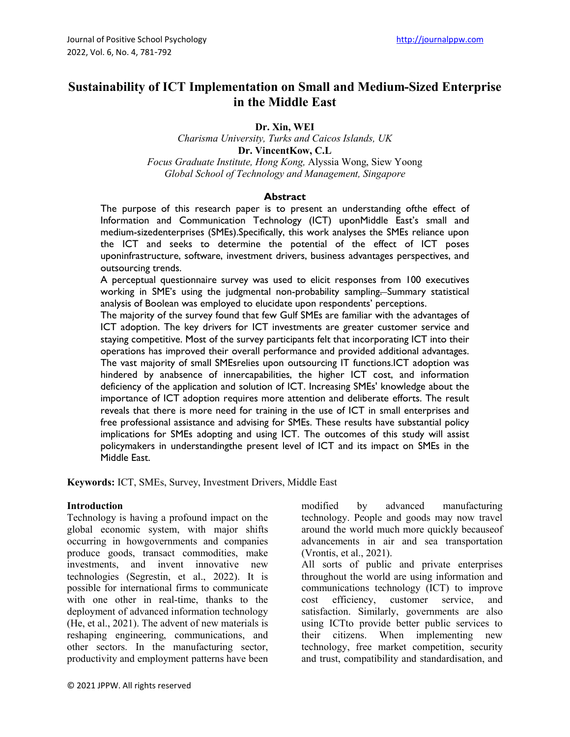# **Sustainability of ICT Implementation on Small and Medium-Sized Enterprise in the Middle East**

**Dr. Xin, WEI**

*Charisma University, Turks and Caicos Islands, UK* **Dr. VincentKow, C.L** *Focus Graduate Institute, Hong Kong,* Alyssia Wong, Siew Yoong *Global School of Technology and Management, Singapore*

## **Abstract**

The purpose of this research paper is to present an understanding ofthe effect of Information and Communication Technology (ICT) uponMiddle East's small and medium-sizedenterprises (SMEs).Specifically, this work analyses the SMEs reliance upon the ICT and seeks to determine the potential of the effect of ICT poses uponinfrastructure, software, investment drivers, business advantages perspectives, and outsourcing trends.

A perceptual questionnaire survey was used to elicit responses from 100 executives working in SME's using the judgmental non-probability sampling. Summary statistical analysis of Boolean was employed to elucidate upon respondents' perceptions.

The majority of the survey found that few Gulf SMEs are familiar with the advantages of ICT adoption. The key drivers for ICT investments are greater customer service and staying competitive. Most of the survey participants felt that incorporating ICT into their operations has improved their overall performance and provided additional advantages. The vast majority of small SMEsrelies upon outsourcing IT functions.ICT adoption was hindered by anabsence of innercapabilities, the higher ICT cost, and information deficiency of the application and solution of ICT. Increasing SMEs' knowledge about the importance of ICT adoption requires more attention and deliberate efforts. The result reveals that there is more need for training in the use of ICT in small enterprises and free professional assistance and advising for SMEs. These results have substantial policy implications for SMEs adopting and using ICT. The outcomes of this study will assist policymakers in understandingthe present level of ICT and its impact on SMEs in the Middle East.

**Keywords:** ICT, SMEs, Survey, Investment Drivers, Middle East

# **Introduction**

Technology is having a profound impact on the global economic system, with major shifts occurring in howgovernments and companies produce goods, transact commodities, make investments, and invent innovative new technologies (Segrestin, et al., 2022). It is possible for international firms to communicate with one other in real-time, thanks to the deployment of advanced information technology (He, et al., 2021). The advent of new materials is reshaping engineering, communications, and other sectors. In the manufacturing sector, productivity and employment patterns have been modified by advanced manufacturing technology. People and goods may now travel around the world much more quickly becauseof advancements in air and sea transportation (Vrontis, et al., 2021).

All sorts of public and private enterprises throughout the world are using information and communications technology (ICT) to improve cost efficiency, customer service, and satisfaction. Similarly, governments are also using ICTto provide better public services to their citizens. When implementing new technology, free market competition, security and trust, compatibility and standardisation, and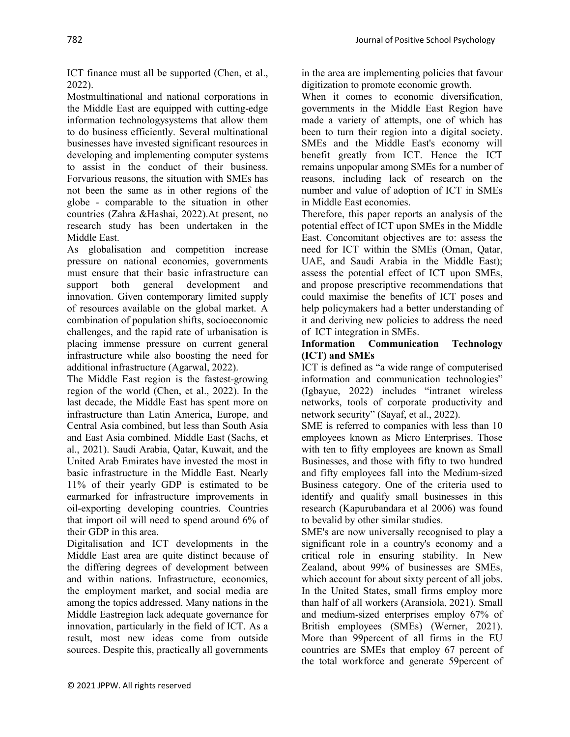ICT finance must all be supported (Chen, et al., 2022).

Mostmultinational and national corporations in the Middle East are equipped with cutting-edge information technologysystems that allow them to do business efficiently. Several multinational businesses have invested significant resources in developing and implementing computer systems to assist in the conduct of their business. Forvarious reasons, the situation with SMEs has not been the same as in other regions of the globe - comparable to the situation in other countries (Zahra &Hashai, 2022).At present, no research study has been undertaken in the Middle East.

As globalisation and competition increase pressure on national economies, governments must ensure that their basic infrastructure can support both general development and innovation. Given contemporary limited supply of resources available on the global market. A combination of population shifts, socioeconomic challenges, and the rapid rate of urbanisation is placing immense pressure on current general infrastructure while also boosting the need for additional infrastructure (Agarwal, 2022).

The Middle East region is the fastest-growing region of the world (Chen, et al., 2022). In the last decade, the Middle East has spent more on infrastructure than Latin America, Europe, and Central Asia combined, but less than South Asia and East Asia combined. Middle East (Sachs, et al., 2021). Saudi Arabia, Qatar, Kuwait, and the United Arab Emirates have invested the most in basic infrastructure in the Middle East. Nearly 11% of their yearly GDP is estimated to be earmarked for infrastructure improvements in oil-exporting developing countries. Countries that import oil will need to spend around 6% of their GDP in this area.

Digitalisation and ICT developments in the Middle East area are quite distinct because of the differing degrees of development between and within nations. Infrastructure, economics, the employment market, and social media are among the topics addressed. Many nations in the Middle Eastregion lack adequate governance for innovation, particularly in the field of ICT. As a result, most new ideas come from outside sources. Despite this, practically all governments

in the area are implementing policies that favour digitization to promote economic growth.

When it comes to economic diversification, governments in the Middle East Region have made a variety of attempts, one of which has been to turn their region into a digital society. SMEs and the Middle East's economy will benefit greatly from ICT. Hence the ICT remains unpopular among SMEs for a number of reasons, including lack of research on the number and value of adoption of ICT in SMEs in Middle East economies.

Therefore, this paper reports an analysis of the potential effect of ICT upon SMEs in the Middle East. Concomitant objectives are to: assess the need for ICT within the SMEs (Oman, Qatar, UAE, and Saudi Arabia in the Middle East); assess the potential effect of ICT upon SMEs, and propose prescriptive recommendations that could maximise the benefits of ICT poses and help policymakers had a better understanding of it and deriving new policies to address the need of ICT integration in SMEs.

# **Information Communication Technology (ICT) and SMEs**

ICT is defined as "a wide range of computerised information and communication technologies" (Igbayue, 2022) includes "intranet wireless networks, tools of corporate productivity and network security" (Sayaf, et al., 2022).

SME is referred to companies with less than 10 employees known as Micro Enterprises. Those with ten to fifty employees are known as Small Businesses, and those with fifty to two hundred and fifty employees fall into the Medium-sized Business category. One of the criteria used to identify and qualify small businesses in this research (Kapurubandara et al 2006) was found to bevalid by other similar studies.

SME's are now universally recognised to play a significant role in a country's economy and a critical role in ensuring stability. In New Zealand, about 99% of businesses are SMEs, which account for about sixty percent of all jobs. In the United States, small firms employ more than half of all workers (Aransiola, 2021). Small and medium-sized enterprises employ 67% of British employees (SMEs) (Werner, 2021). More than 99percent of all firms in the EU countries are SMEs that employ 67 percent of the total workforce and generate 59percent of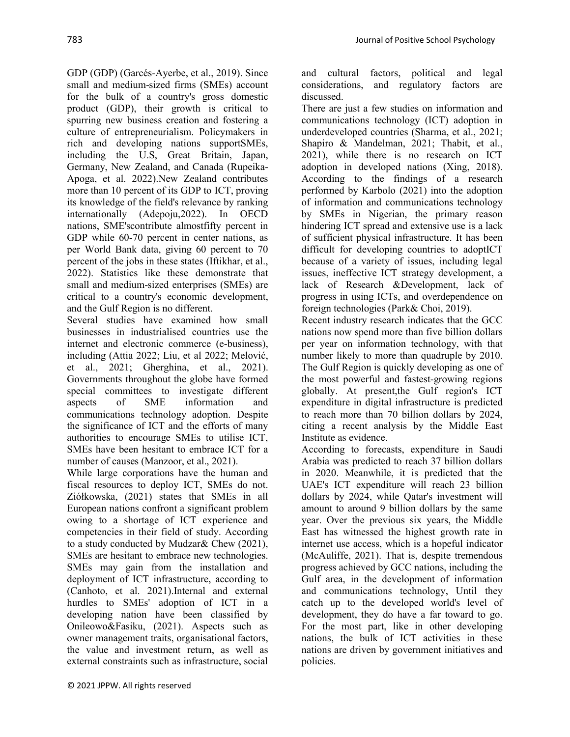GDP (GDP) (Garcés-Ayerbe, et al., 2019). Since small and medium-sized firms (SMEs) account for the bulk of a country's gross domestic product (GDP), their growth is critical to spurring new business creation and fostering a culture of entrepreneurialism. Policymakers in rich and developing nations supportSMEs, including the U.S, Great Britain, Japan, Germany, New Zealand, and Canada (Rupeika-Apoga, et al. 2022).New Zealand contributes more than 10 percent of its GDP to ICT, proving its knowledge of the field's relevance by ranking internationally (Adepoju,2022). In OECD nations, SME'scontribute almostfifty percent in GDP while 60-70 percent in center nations, as per World Bank data, giving 60 percent to 70 percent of the jobs in these states (Iftikhar, et al., 2022). Statistics like these demonstrate that small and medium-sized enterprises (SMEs) are critical to a country's economic development, and the Gulf Region is no different.

Several studies have examined how small businesses in industrialised countries use the internet and electronic commerce (e-business), including (Attia 2022; Liu, et al 2022; Melović, et al., 2021; Gherghina, et al., 2021). Governments throughout the globe have formed special committees to investigate different aspects of SME information and communications technology adoption. Despite the significance of ICT and the efforts of many authorities to encourage SMEs to utilise ICT, SMEs have been hesitant to embrace ICT for a number of causes (Manzoor, et al., 2021).

While large corporations have the human and fiscal resources to deploy ICT, SMEs do not. Ziółkowska, (2021) states that SMEs in all European nations confront a significant problem owing to a shortage of ICT experience and competencies in their field of study. According to a study conducted by Mudzar& Chew (2021), SMEs are hesitant to embrace new technologies. SMEs may gain from the installation and deployment of ICT infrastructure, according to (Canhoto, et al. 2021).Internal and external hurdles to SMEs' adoption of ICT in a developing nation have been classified by Onileowo&Fasiku, (2021). Aspects such as owner management traits, organisational factors, the value and investment return, as well as external constraints such as infrastructure, social

and cultural factors, political and legal considerations, and regulatory factors are discussed.

There are just a few studies on information and communications technology (ICT) adoption in underdeveloped countries (Sharma, et al., 2021; Shapiro & Mandelman, 2021; Thabit, et al., 2021), while there is no research on ICT adoption in developed nations (Xing, 2018). According to the findings of a research performed by Karbolo (2021) into the adoption of information and communications technology by SMEs in Nigerian, the primary reason hindering ICT spread and extensive use is a lack of sufficient physical infrastructure. It has been difficult for developing countries to adoptICT because of a variety of issues, including legal issues, ineffective ICT strategy development, a lack of Research &Development, lack of progress in using ICTs, and overdependence on foreign technologies (Park& Choi, 2019).

Recent industry research indicates that the GCC nations now spend more than five billion dollars per year on information technology, with that number likely to more than quadruple by 2010. The Gulf Region is quickly developing as one of the most powerful and fastest-growing regions globally. At present,the Gulf region's ICT expenditure in digital infrastructure is predicted to reach more than 70 billion dollars by 2024, citing a recent analysis by the Middle East Institute as evidence.

According to forecasts, expenditure in Saudi Arabia was predicted to reach 37 billion dollars in 2020. Meanwhile, it is predicted that the UAE's ICT expenditure will reach 23 billion dollars by 2024, while Qatar's investment will amount to around 9 billion dollars by the same year. Over the previous six years, the Middle East has witnessed the highest growth rate in internet use access, which is a hopeful indicator (McAuliffe, 2021). That is, despite tremendous progress achieved by GCC nations, including the Gulf area, in the development of information and communications technology, Until they catch up to the developed world's level of development, they do have a far toward to go. For the most part, like in other developing nations, the bulk of ICT activities in these nations are driven by government initiatives and policies.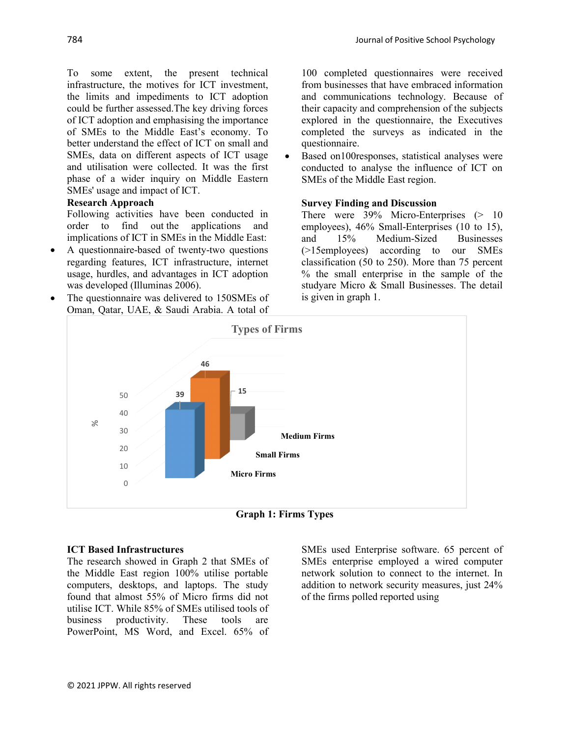To some extent, the present technical infrastructure, the motives for ICT investment, the limits and impediments to ICT adoption could be further assessed.The key driving forces of ICT adoption and emphasising the importance of SMEs to the Middle East's economy. To better understand the effect of ICT on small and SMEs, data on different aspects of ICT usage and utilisation were collected. It was the first phase of a wider inquiry on Middle Eastern SMEs' usage and impact of ICT.

# **Research Approach**

Following activities have been conducted in order to find out the applications and implications of ICT in SMEs in the Middle East:

- ∑ A questionnaire-based of twenty-two questions regarding features, ICT infrastructure, internet usage, hurdles, and advantages in ICT adoption was developed (Illuminas 2006).
- The questionnaire was delivered to 150SMEs of Oman, Qatar, UAE, & Saudi Arabia. A total of

100 completed questionnaires were received from businesses that have embraced information and communications technology. Because of their capacity and comprehension of the subjects explored in the questionnaire, the Executives completed the surveys as indicated in the questionnaire.

● Based on100responses, statistical analyses were conducted to analyse the influence of ICT on SMEs of the Middle East region.

## **Survey Finding and Discussion**

There were 39% Micro-Enterprises (> 10 employees), 46% Small-Enterprises (10 to 15), and 15% Medium-Sized Businesses (>15employees) according to our SMEs classification (50 to 250). More than 75 percent % the small enterprise in the sample of the studyare Micro & Small Businesses. The detail is given in graph 1.



**Graph 1: Firms Types**

### **ICT Based Infrastructures**

The research showed in Graph 2 that SMEs of the Middle East region 100% utilise portable computers, desktops, and laptops. The study found that almost 55% of Micro firms did not utilise ICT. While 85% of SMEs utilised tools of business productivity. These tools are PowerPoint, MS Word, and Excel. 65% of

SMEs used Enterprise software. 65 percent of SMEs enterprise employed a wired computer network solution to connect to the internet. In addition to network security measures, just 24% of the firms polled reported using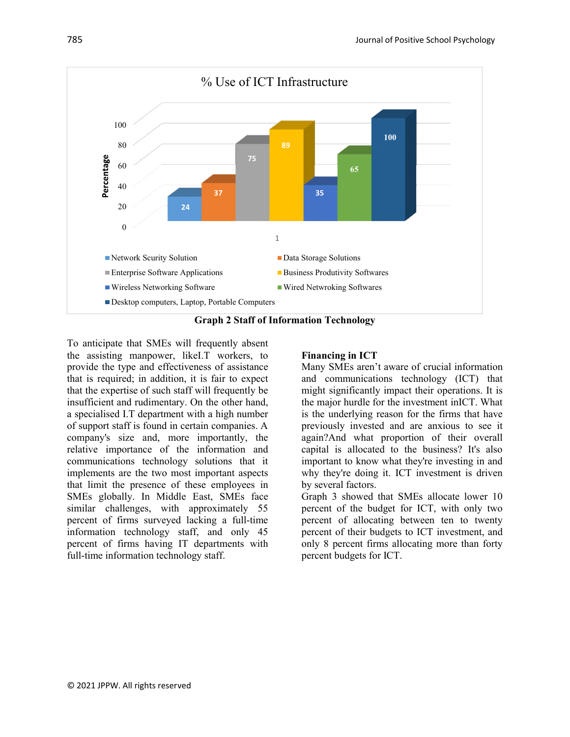

**Graph 2 Staff of Information Technology**

To anticipate that SMEs will frequently absent the assisting manpower, likeI.T workers, to provide the type and effectiveness of assistance that is required; in addition, it is fair to expect that the expertise of such staff will frequently be insufficient and rudimentary. On the other hand, a specialised I.T department with a high number of support staff is found in certain companies. A company's size and, more importantly, the relative importance of the information and communications technology solutions that it implements are the two most important aspects that limit the presence of these employees in SMEs globally. In Middle East, SMEs face similar challenges, with approximately 55 percent of firms surveyed lacking a full-time information technology staff, and only 45 percent of firms having IT departments with full-time information technology staff.

#### **Financing in ICT**

Many SMEs aren't aware of crucial information and communications technology (ICT) that might significantly impact their operations. It is the major hurdle for the investment inICT. What is the underlying reason for the firms that have previously invested and are anxious to see it again?And what proportion of their overall capital is allocated to the business? It's also important to know what they're investing in and why they're doing it. ICT investment is driven by several factors.

Graph 3 showed that SMEs allocate lower 10 percent of the budget for ICT, with only two percent of allocating between ten to twenty percent of their budgets to ICT investment, and only 8 percent firms allocating more than forty percent budgets for ICT.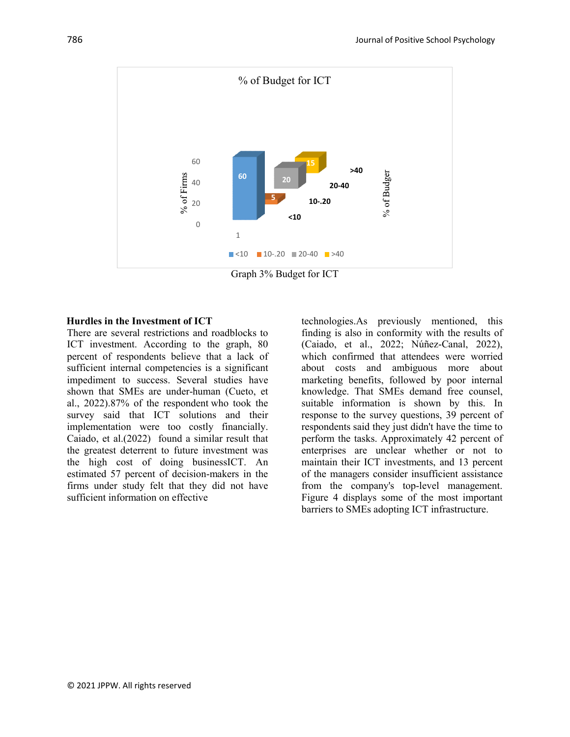

Graph 3% Budget for ICT

#### **Hurdles in the Investment of ICT**

There are several restrictions and roadblocks to ICT investment. According to the graph, 80 percent of respondents believe that a lack of sufficient internal competencies is a significant impediment to success. Several studies have shown that SMEs are under-human (Cueto, et al., 2022).87% of the respondent who took the survey said that ICT solutions and their implementation were too costly financially. Caiado, et al.(2022) found a similar result that the greatest deterrent to future investment was the high cost of doing businessICT. An estimated 57 percent of decision-makers in the firms under study felt that they did not have sufficient information on effective

technologies.As previously mentioned, this finding is also in conformity with the results of (Caiado, et al., 2022; Núñez-Canal, 2022), which confirmed that attendees were worried about costs and ambiguous more about marketing benefits, followed by poor internal knowledge. That SMEs demand free counsel, suitable information is shown by this. In response to the survey questions, 39 percent of respondents said they just didn't have the time to perform the tasks. Approximately 42 percent of enterprises are unclear whether or not to maintain their ICT investments, and 13 percent of the managers consider insufficient assistance from the company's top-level management. Figure 4 displays some of the most important barriers to SMEs adopting ICT infrastructure.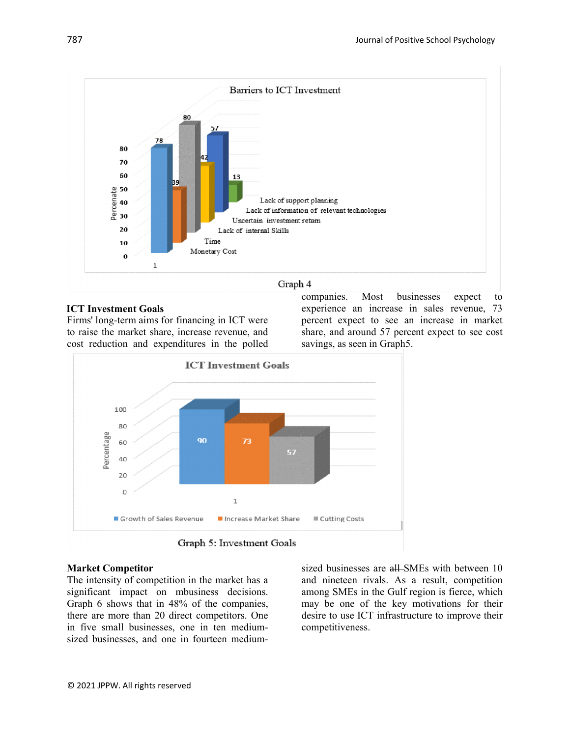

## **ICT Investment Goals**

Firms' long-term aims for financing in ICT were to raise the market share, increase revenue, and cost reduction and expenditures in the polled companies. Most businesses expect to experience an increase in sales revenue, 73 percent expect to see an increase in market share, and around 57 percent expect to see cost savings, as seen in Graph5.



### **Market Competitor**

The intensity of competition in the market has a significant impact on mbusiness decisions. Graph 6 shows that in 48% of the companies, there are more than 20 direct competitors. One in five small businesses, one in ten mediumsized businesses, and one in fourteen mediumsized businesses are all SMEs with between 10 and nineteen rivals. As a result, competition among SMEs in the Gulf region is fierce, which may be one of the key motivations for their desire to use ICT infrastructure to improve their competitiveness.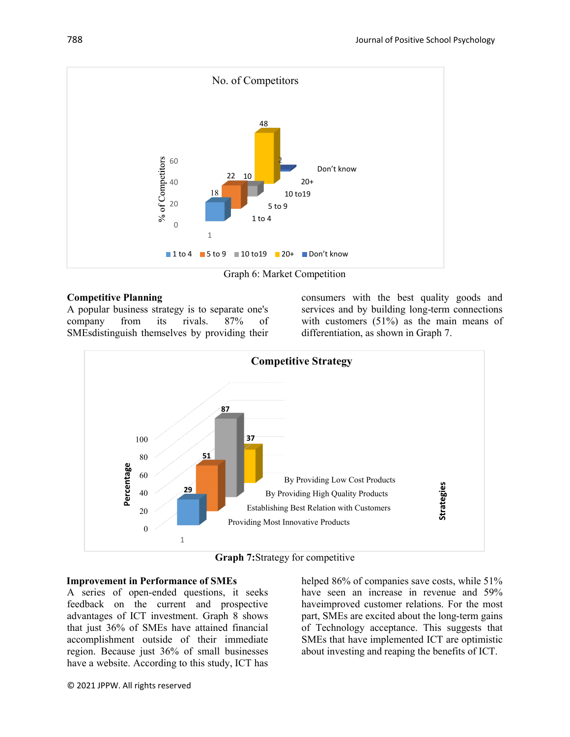

Graph 6: Market Competition

## **Competitive Planning**

A popular business strategy is to separate one's company from its rivals. 87% of SMEsdistinguish themselves by providing their consumers with the best quality goods and services and by building long-term connections with customers (51%) as the main means of differentiation, as shown in Graph 7.



**Graph 7:**Strategy for competitive

### **Improvement in Performance of SMEs**

A series of open-ended questions, it seeks feedback on the current and prospective advantages of ICT investment. Graph 8 shows that just 36% of SMEs have attained financial accomplishment outside of their immediate region. Because just 36% of small businesses have a website. According to this study, ICT has

helped 86% of companies save costs, while 51% have seen an increase in revenue and 59% haveimproved customer relations. For the most part, SMEs are excited about the long-term gains of Technology acceptance. This suggests that SMEs that have implemented ICT are optimistic about investing and reaping the benefits of ICT.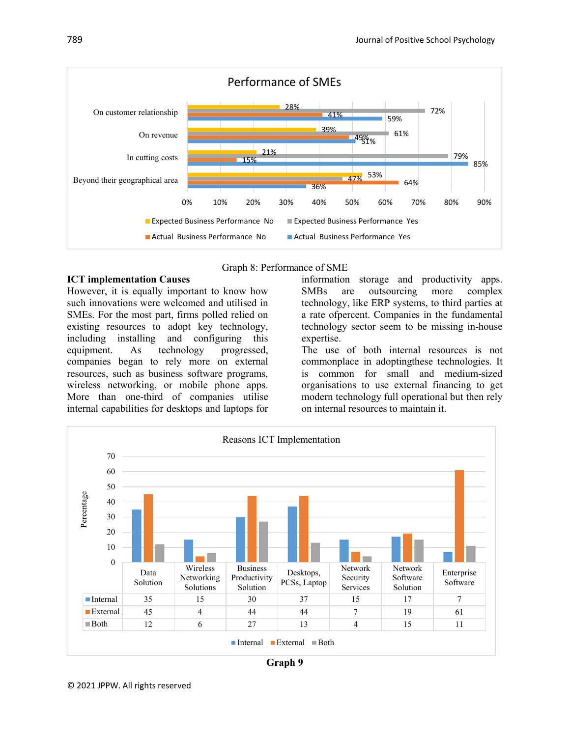

Graph 8: Performance of SME

# **ICT implementation Causes**

However, it is equally important to know how such innovations were welcomed and utilised in SMEs. For the most part, firms polled relied on existing resources to adopt key technology, including installing and configuring this equipment. As technology progressed, companies began to rely more on external resources, such as business software programs, wireless networking, or mobile phone apps. More than one-third of companies utilise internal capabilities for desktops and laptops for

information storage and productivity apps. SMBs are outsourcing more complex technology, like ERP systems, to third parties at a rate ofpercent. Companies in the fundamental technology sector seem to be missing in-house expertise.

The use of both internal resources is not commonplace in adoptingthese technologies. It is common for small and medium-sized organisations to use external financing to get modern technology full operational but then rely on internal resources to maintain it.



**Graph 9**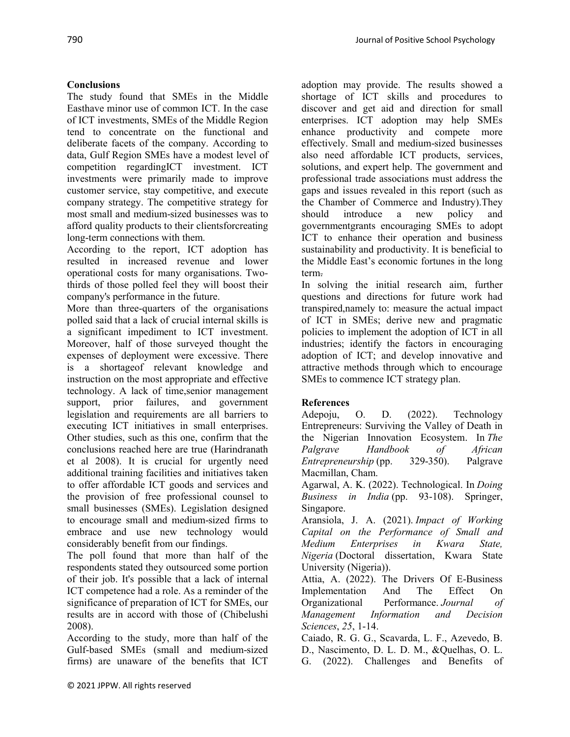# **Conclusions**

The study found that SMEs in the Middle Easthave minor use of common ICT. In the case of ICT investments, SMEs of the Middle Region tend to concentrate on the functional and deliberate facets of the company. According to data, Gulf Region SMEs have a modest level of competition regardingICT investment. ICT investments were primarily made to improve customer service, stay competitive, and execute company strategy. The competitive strategy for most small and medium-sized businesses was to afford quality products to their clientsforcreating long-term connections with them.

According to the report, ICT adoption has resulted in increased revenue and lower operational costs for many organisations. Twothirds of those polled feel they will boost their company's performance in the future.

More than three-quarters of the organisations polled said that a lack of crucial internal skills is a significant impediment to ICT investment. Moreover, half of those surveyed thought the expenses of deployment were excessive. There is a shortageof relevant knowledge and instruction on the most appropriate and effective technology. A lack of time,senior management support, prior failures, and government legislation and requirements are all barriers to executing ICT initiatives in small enterprises. Other studies, such as this one, confirm that the conclusions reached here are true (Harindranath et al 2008). It is crucial for urgently need additional training facilities and initiatives taken to offer affordable ICT goods and services and the provision of free professional counsel to small businesses (SMEs). Legislation designed to encourage small and medium-sized firms to embrace and use new technology would considerably benefit from our findings.

The poll found that more than half of the respondents stated they outsourced some portion of their job. It's possible that a lack of internal ICT competence had a role. As a reminder of the significance of preparation of ICT for SMEs, our results are in accord with those of (Chibelushi 2008).

According to the study, more than half of the Gulf-based SMEs (small and medium-sized firms) are unaware of the benefits that ICT

adoption may provide. The results showed a shortage of ICT skills and procedures to discover and get aid and direction for small enterprises. ICT adoption may help SMEs enhance productivity and compete more effectively. Small and medium-sized businesses also need affordable ICT products, services, solutions, and expert help. The government and professional trade associations must address the gaps and issues revealed in this report (such as the Chamber of Commerce and Industry).They should introduce a new policy and governmentgrants encouraging SMEs to adopt ICT to enhance their operation and business sustainability and productivity. It is beneficial to the Middle East's economic fortunes in the long term.

In solving the initial research aim, further questions and directions for future work had transpired,namely to: measure the actual impact of ICT in SMEs; derive new and pragmatic policies to implement the adoption of ICT in all industries; identify the factors in encouraging adoption of ICT; and develop innovative and attractive methods through which to encourage SMEs to commence ICT strategy plan.

# **References**

Adepoju, O. D. (2022). Technology Entrepreneurs: Surviving the Valley of Death in the Nigerian Innovation Ecosystem. In *The Palgrave Handbook of African Entrepreneurship* (pp. 329-350). Palgrave Macmillan, Cham.

Agarwal, A. K. (2022). Technological. In *Doing Business in India* (pp. 93-108). Springer, Singapore.

Aransiola, J. A. (2021). *Impact of Working Capital on the Performance of Small and Medium Enterprises in Kwara State, Nigeria* (Doctoral dissertation, Kwara State University (Nigeria)).

Attia, A. (2022). The Drivers Of E-Business Implementation And The Effect On Organizational Performance. *Journal of Management Information and Decision Sciences*, *25*, 1-14.

Caiado, R. G. G., Scavarda, L. F., Azevedo, B. D., Nascimento, D. L. D. M., &Quelhas, O. L. G. (2022). Challenges and Benefits of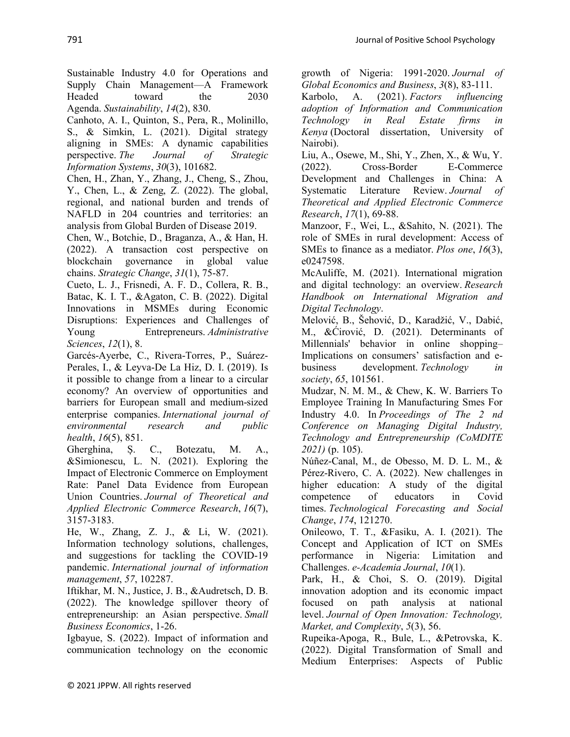Sustainable Industry 4.0 for Operations and Supply Chain Management—A Framework Headed toward the 2030 Agenda. *Sustainability*, *14*(2), 830.

Canhoto, A. I., Quinton, S., Pera, R., Molinillo, S., & Simkin, L. (2021). Digital strategy aligning in SMEs: A dynamic capabilities perspective. *The Journal of Strategic Information Systems*, *30*(3), 101682.

Chen, H., Zhan, Y., Zhang, J., Cheng, S., Zhou, Y., Chen, L., & Zeng, Z. (2022). The global, regional, and national burden and trends of NAFLD in 204 countries and territories: an analysis from Global Burden of Disease 2019.

Chen, W., Botchie, D., Braganza, A., & Han, H. (2022). A transaction cost perspective on blockchain governance in global value chains. *Strategic Change*, *31*(1), 75-87.

Cueto, L. J., Frisnedi, A. F. D., Collera, R. B., Batac, K. I. T., &Agaton, C. B. (2022). Digital Innovations in MSMEs during Economic Disruptions: Experiences and Challenges of Young Entrepreneurs. *Administrative Sciences*, *12*(1), 8.

Garcés-Ayerbe, C., Rivera-Torres, P., Suárez-Perales, I., & Leyva-De La Hiz, D. I. (2019). Is it possible to change from a linear to a circular economy? An overview of opportunities and barriers for European small and medium-sized enterprise companies. *International journal of environmental research and public health*, *16*(5), 851.

Gherghina, Ș. C., Botezatu, M. A., &Simionescu, L. N. (2021). Exploring the Impact of Electronic Commerce on Employment Rate: Panel Data Evidence from European Union Countries. *Journal of Theoretical and Applied Electronic Commerce Research*, *16*(7), 3157-3183.

He, W., Zhang, Z. J., & Li, W. (2021). Information technology solutions, challenges, and suggestions for tackling the COVID-19 pandemic. *International journal of information management*, *57*, 102287.

Iftikhar, M. N., Justice, J. B., &Audretsch, D. B. (2022). The knowledge spillover theory of entrepreneurship: an Asian perspective. *Small Business Economics*, 1-26.

Igbayue, S. (2022). Impact of information and communication technology on the economic

growth of Nigeria: 1991-2020. *Journal of Global Economics and Business*, *3*(8), 83-111.

Karbolo, A. (2021). *Factors influencing adoption of Information and Communication Technology in Real Estate firms in Kenya* (Doctoral dissertation, University of Nairobi).

Liu, A., Osewe, M., Shi, Y., Zhen, X., & Wu, Y. (2022). Cross-Border E-Commerce Development and Challenges in China: A Systematic Literature Review. *Journal of Theoretical and Applied Electronic Commerce Research*, *17*(1), 69-88.

Manzoor, F., Wei, L., &Sahito, N. (2021). The role of SMEs in rural development: Access of SMEs to finance as a mediator. *Plos one*, *16*(3), e0247598.

McAuliffe, M. (2021). International migration and digital technology: an overview. *Research Handbook on International Migration and Digital Technology*.

Melović, B., Šehović, D., Karadžić, V., Dabić, M., &Ćirović, D. (2021). Determinants of Millennials' behavior in online shopping– Implications on consumers' satisfaction and ebusiness development. *Technology in society*, *65*, 101561.

Mudzar, N. M. M., & Chew, K. W. Barriers To Employee Training In Manufacturing Smes For Industry 4.0. In *Proceedings of The 2 nd Conference on Managing Digital Industry, Technology and Entrepreneurship (CoMDITE 2021)* (p. 105).

Núñez-Canal, M., de Obesso, M. D. L. M., & Pérez-Rivero, C. A. (2022). New challenges in higher education: A study of the digital competence of educators in Covid times. *Technological Forecasting and Social Change*, *174*, 121270.

Onileowo, T. T., &Fasiku, A. I. (2021). The Concept and Application of ICT on SMEs performance in Nigeria: Limitation and Challenges. *e-Academia Journal*, *10*(1).

Park, H., & Choi, S. O. (2019). Digital innovation adoption and its economic impact focused on path analysis at national level. *Journal of Open Innovation: Technology, Market, and Complexity*, *5*(3), 56.

Rupeika-Apoga, R., Bule, L., &Petrovska, K. (2022). Digital Transformation of Small and Medium Enterprises: Aspects of Public